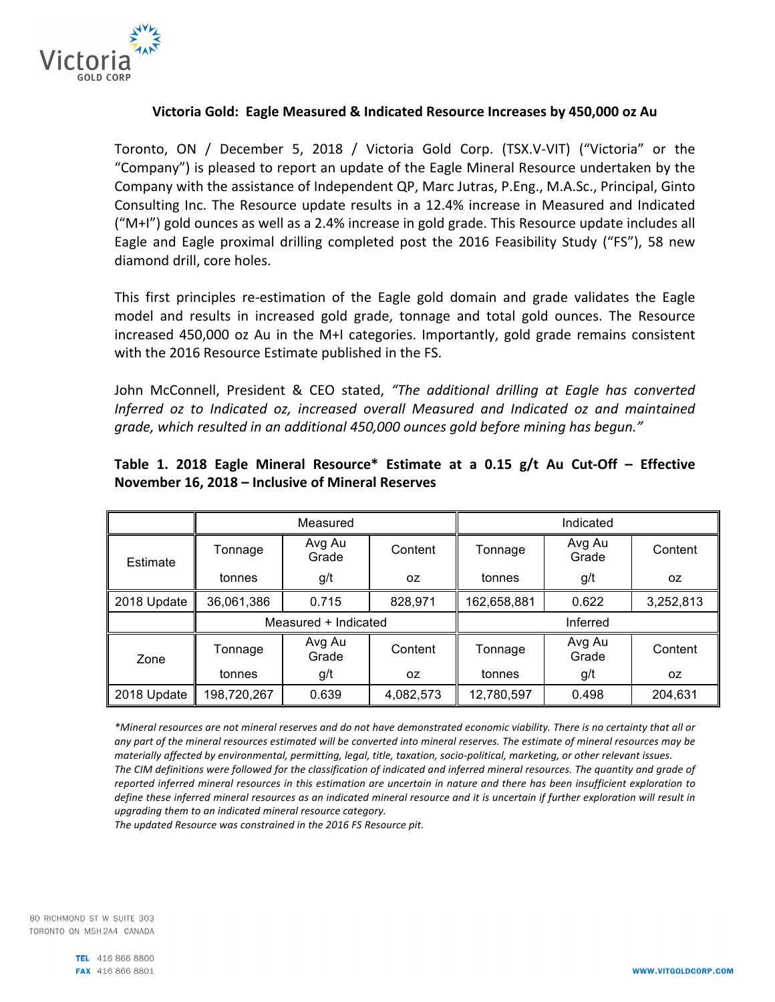

## **Victoria Gold: Eagle Measured & Indicated Resource Increases by 450,000 oz Au**

Toronto, ON / December 5, 2018 / Victoria Gold Corp. (TSX.V-VIT) ("Victoria" or the "Company") is pleased to report an update of the Eagle Mineral Resource undertaken by the Company with the assistance of Independent QP, Marc Jutras, P.Eng., M.A.Sc., Principal, Ginto Consulting Inc. The Resource update results in a 12.4% increase in Measured and Indicated  $('M+1'')$  gold ounces as well as a 2.4% increase in gold grade. This Resource update includes all Eagle and Eagle proximal drilling completed post the 2016 Feasibility Study ("FS"), 58 new diamond drill, core holes.

This first principles re-estimation of the Eagle gold domain and grade validates the Eagle model and results in increased gold grade, tonnage and total gold ounces. The Resource increased 450,000 oz Au in the M+I categories. Importantly, gold grade remains consistent with the 2016 Resource Estimate published in the FS.

John McConnell, President & CEO stated, "The additional drilling at Eagle has converted *Inferred oz to Indicated oz, increased overall Measured and Indicated oz and maintained* grade, which resulted in an additional 450,000 ounces gold before mining has begun."

|             | Measured             |                 |           | Indicated   |                 |           |
|-------------|----------------------|-----------------|-----------|-------------|-----------------|-----------|
| Estimate    | Tonnage              | Avg Au<br>Grade | Content   | Tonnage     | Avg Au<br>Grade | Content   |
|             | tonnes               | g/t             | 0Z        | tonnes      | g/t             | OZ.       |
| 2018 Update | 36,061,386           | 0.715           | 828,971   | 162,658,881 | 0.622           | 3,252,813 |
|             | Measured + Indicated |                 |           | Inferred    |                 |           |
| Zone        | Tonnage              | Avg Au<br>Grade | Content   | Tonnage     | Avg Au<br>Grade | Content   |
|             | tonnes               | g/t             | 0Z        | tonnes      | g/t             | OZ.       |
| 2018 Update | 198,720,267          | 0.639           | 4,082,573 | 12,780,597  | 0.498           | 204,631   |

# **Table 1. 2018 Eagle Mineral Resource\* Estimate at a 0.15 g/t Au Cut-Off – Effective November 16, 2018 – Inclusive of Mineral Reserves**

\*Mineral resources are not mineral reserves and do not have demonstrated economic viability. There is no certainty that all or any part of the mineral resources estimated will be converted into mineral reserves. The estimate of mineral resources may be materially affected by environmental, permitting, legal, title, taxation, socio-political, marketing, or other relevant issues. The CIM definitions were followed for the classification of indicated and inferred mineral resources. The quantity and grade of reported inferred mineral resources in this estimation are uncertain in nature and there has been insufficient exploration to *define these inferred mineral resources as an indicated mineral resource and it is uncertain if further exploration will result in* upgrading them to an indicated mineral resource category.

The updated Resource was constrained in the 2016 FS Resource pit.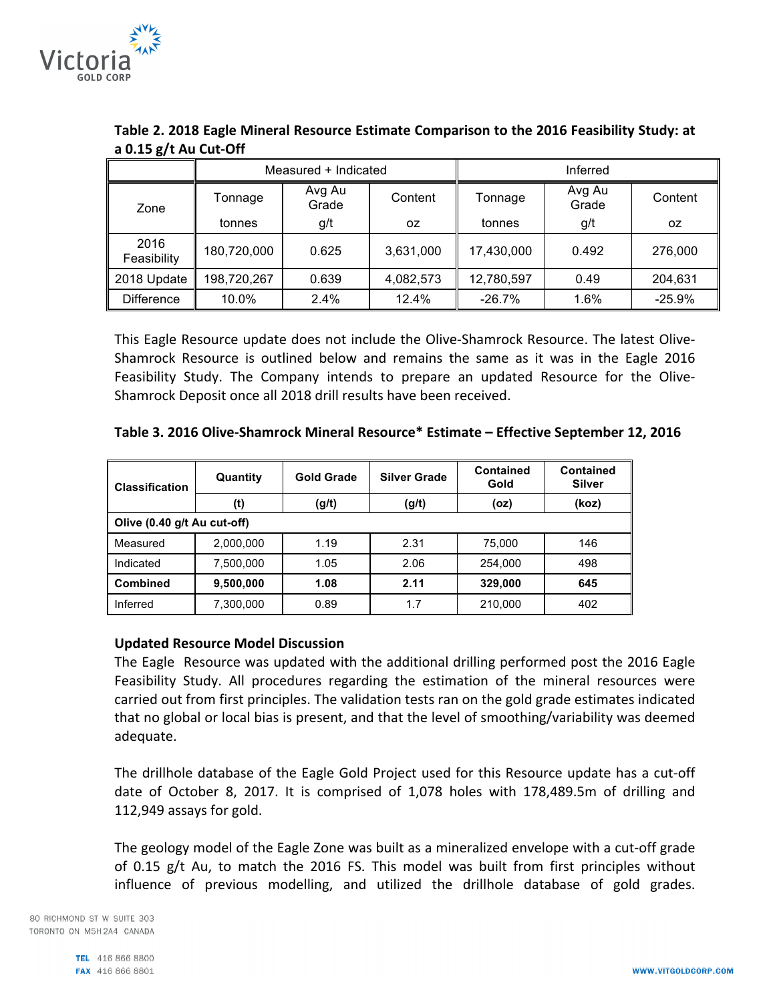

|                     | Measured + Indicated |                 |           | Inferred   |                 |          |
|---------------------|----------------------|-----------------|-----------|------------|-----------------|----------|
| Zone                | Tonnage              | Avg Au<br>Grade | Content   | Tonnage    | Avg Au<br>Grade | Content  |
|                     | tonnes               | g/t             | 0Z        | tonnes     | g/t             | 0Z       |
| 2016<br>Feasibility | 180,720,000          | 0.625           | 3,631,000 | 17,430,000 | 0.492           | 276,000  |
| 2018 Update         | 198,720,267          | 0.639           | 4,082,573 | 12,780,597 | 0.49            | 204,631  |
| <b>Difference</b>   | 10.0%                | 2.4%            | 12.4%     | $-26.7%$   | 1.6%            | $-25.9%$ |

Table 2. 2018 Eagle Mineral Resource Estimate Comparison to the 2016 Feasibility Study: at **a 0.15 g/t Au Cut-Off**

This Eagle Resource update does not include the Olive-Shamrock Resource. The latest Olive-Shamrock Resource is outlined below and remains the same as it was in the Eagle 2016 Feasibility Study. The Company intends to prepare an updated Resource for the Olive-Shamrock Deposit once all 2018 drill results have been received.

| l Classification            | Quantity  | <b>Gold Grade</b> | <b>Silver Grade</b> | <b>Contained</b><br>Gold | Contained<br><b>Silver</b> |  |  |  |
|-----------------------------|-----------|-------------------|---------------------|--------------------------|----------------------------|--|--|--|
|                             | (t)       | (g/t)             | (g/t)               | (oz)                     | (koz)                      |  |  |  |
| Olive (0.40 g/t Au cut-off) |           |                   |                     |                          |                            |  |  |  |
| Measured                    | 2,000,000 | 1.19              | 2.31                | 75,000                   | 146                        |  |  |  |
| Indicated                   | 7,500,000 | 1.05              | 2.06                | 254.000                  | 498                        |  |  |  |
| Combined                    | 9,500,000 | 1.08              | 2.11                | 329,000                  | 645                        |  |  |  |
| I Inferred                  | 7,300,000 | 0.89              | 1.7                 | 210,000                  | 402                        |  |  |  |

#### **Updated Resource Model Discussion**

The Eagle Resource was updated with the additional drilling performed post the 2016 Eagle Feasibility Study. All procedures regarding the estimation of the mineral resources were carried out from first principles. The validation tests ran on the gold grade estimates indicated that no global or local bias is present, and that the level of smoothing/variability was deemed adequate. 

The drillhole database of the Eagle Gold Project used for this Resource update has a cut-off date of October 8, 2017. It is comprised of 1,078 holes with 178,489.5m of drilling and 112,949 assays for gold.

The geology model of the Eagle Zone was built as a mineralized envelope with a cut-off grade of 0.15 g/t Au, to match the 2016 FS. This model was built from first principles without influence of previous modelling, and utilized the drillhole database of gold grades.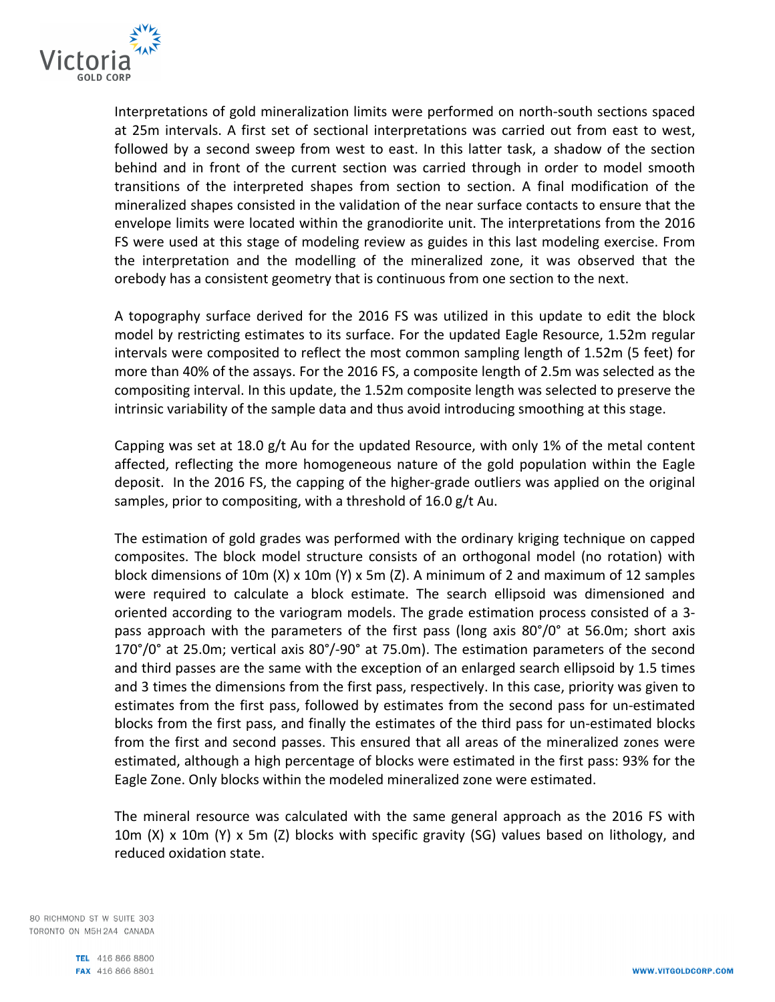

Interpretations of gold mineralization limits were performed on north-south sections spaced at 25m intervals. A first set of sectional interpretations was carried out from east to west, followed by a second sweep from west to east. In this latter task, a shadow of the section behind and in front of the current section was carried through in order to model smooth transitions of the interpreted shapes from section to section. A final modification of the mineralized shapes consisted in the validation of the near surface contacts to ensure that the envelope limits were located within the granodiorite unit. The interpretations from the 2016 FS were used at this stage of modeling review as guides in this last modeling exercise. From the interpretation and the modelling of the mineralized zone, it was observed that the orebody has a consistent geometry that is continuous from one section to the next.

A topography surface derived for the 2016 FS was utilized in this update to edit the block model by restricting estimates to its surface. For the updated Eagle Resource, 1.52m regular intervals were composited to reflect the most common sampling length of 1.52m (5 feet) for more than 40% of the assays. For the 2016 FS, a composite length of 2.5m was selected as the compositing interval. In this update, the 1.52m composite length was selected to preserve the intrinsic variability of the sample data and thus avoid introducing smoothing at this stage.

Capping was set at 18.0  $g/t$  Au for the updated Resource, with only 1% of the metal content affected, reflecting the more homogeneous nature of the gold population within the Eagle deposit. In the 2016 FS, the capping of the higher-grade outliers was applied on the original samples, prior to compositing, with a threshold of 16.0 g/t Au.

The estimation of gold grades was performed with the ordinary kriging technique on capped composites. The block model structure consists of an orthogonal model (no rotation) with block dimensions of 10m (X) x 10m (Y) x 5m (Z). A minimum of 2 and maximum of 12 samples were required to calculate a block estimate. The search ellipsoid was dimensioned and oriented according to the variogram models. The grade estimation process consisted of a 3pass approach with the parameters of the first pass (long axis  $80^{\circ}/0^{\circ}$  at 56.0m; short axis  $170^{\circ}/0^{\circ}$  at 25.0m; vertical axis 80 $^{\circ}/-90^{\circ}$  at 75.0m). The estimation parameters of the second and third passes are the same with the exception of an enlarged search ellipsoid by 1.5 times and 3 times the dimensions from the first pass, respectively. In this case, priority was given to estimates from the first pass, followed by estimates from the second pass for un-estimated blocks from the first pass, and finally the estimates of the third pass for un-estimated blocks from the first and second passes. This ensured that all areas of the mineralized zones were estimated, although a high percentage of blocks were estimated in the first pass: 93% for the Eagle Zone. Only blocks within the modeled mineralized zone were estimated.

The mineral resource was calculated with the same general approach as the 2016 FS with 10m (X) x 10m (Y) x 5m (Z) blocks with specific gravity (SG) values based on lithology, and reduced oxidation state.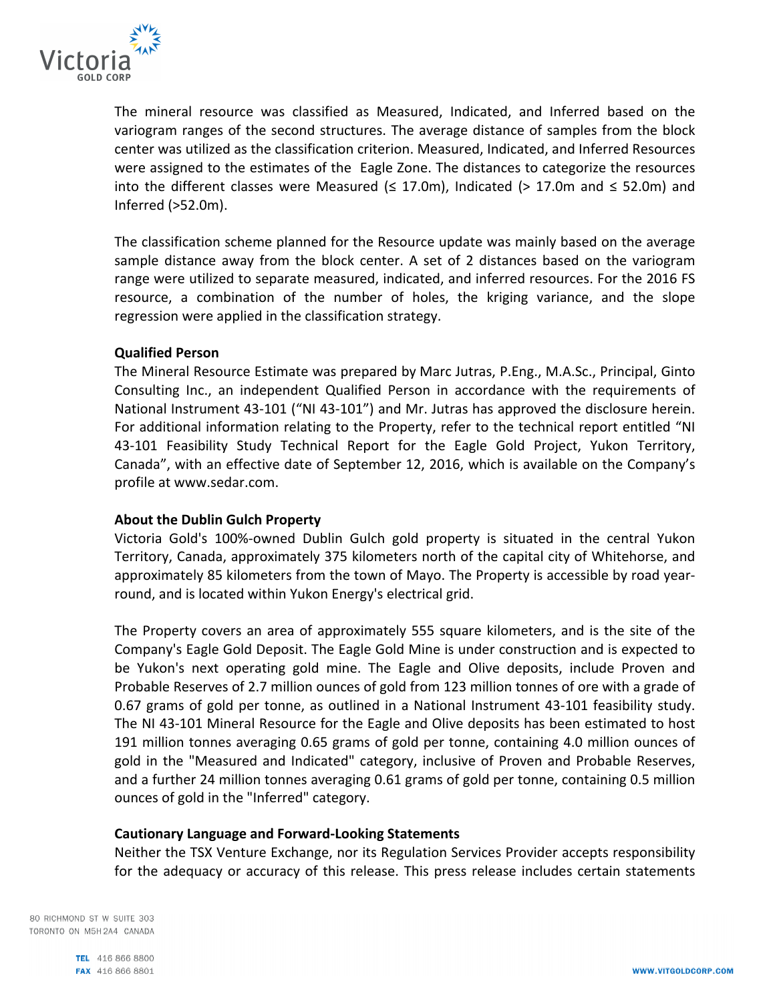

The mineral resource was classified as Measured, Indicated, and Inferred based on the variogram ranges of the second structures. The average distance of samples from the block center was utilized as the classification criterion. Measured, Indicated, and Inferred Resources were assigned to the estimates of the Eagle Zone. The distances to categorize the resources into the different classes were Measured ( $\leq$  17.0m), Indicated (> 17.0m and  $\leq$  52.0m) and Inferred (>52.0m).

The classification scheme planned for the Resource update was mainly based on the average sample distance away from the block center. A set of 2 distances based on the variogram range were utilized to separate measured, indicated, and inferred resources. For the 2016 FS resource, a combination of the number of holes, the kriging variance, and the slope regression were applied in the classification strategy.

### **Qualified Person**

The Mineral Resource Estimate was prepared by Marc Jutras, P.Eng., M.A.Sc., Principal, Ginto Consulting Inc., an independent Qualified Person in accordance with the requirements of National Instrument 43-101 ("NI 43-101") and Mr. Jutras has approved the disclosure herein. For additional information relating to the Property, refer to the technical report entitled "NI 43-101 Feasibility Study Technical Report for the Eagle Gold Project, Yukon Territory, Canada", with an effective date of September 12, 2016, which is available on the Company's profile at www.sedar.com.

#### **About the Dublin Gulch Property**

Victoria Gold's 100%-owned Dublin Gulch gold property is situated in the central Yukon Territory, Canada, approximately 375 kilometers north of the capital city of Whitehorse, and approximately 85 kilometers from the town of Mayo. The Property is accessible by road yearround, and is located within Yukon Energy's electrical grid.

The Property covers an area of approximately 555 square kilometers, and is the site of the Company's Eagle Gold Deposit. The Eagle Gold Mine is under construction and is expected to be Yukon's next operating gold mine. The Eagle and Olive deposits, include Proven and Probable Reserves of 2.7 million ounces of gold from 123 million tonnes of ore with a grade of 0.67 grams of gold per tonne, as outlined in a National Instrument 43-101 feasibility study. The NI 43-101 Mineral Resource for the Eagle and Olive deposits has been estimated to host 191 million tonnes averaging 0.65 grams of gold per tonne, containing 4.0 million ounces of gold in the "Measured and Indicated" category, inclusive of Proven and Probable Reserves, and a further 24 million tonnes averaging 0.61 grams of gold per tonne, containing 0.5 million ounces of gold in the "Inferred" category.

## **Cautionary Language and Forward-Looking Statements**

Neither the TSX Venture Exchange, nor its Regulation Services Provider accepts responsibility for the adequacy or accuracy of this release. This press release includes certain statements